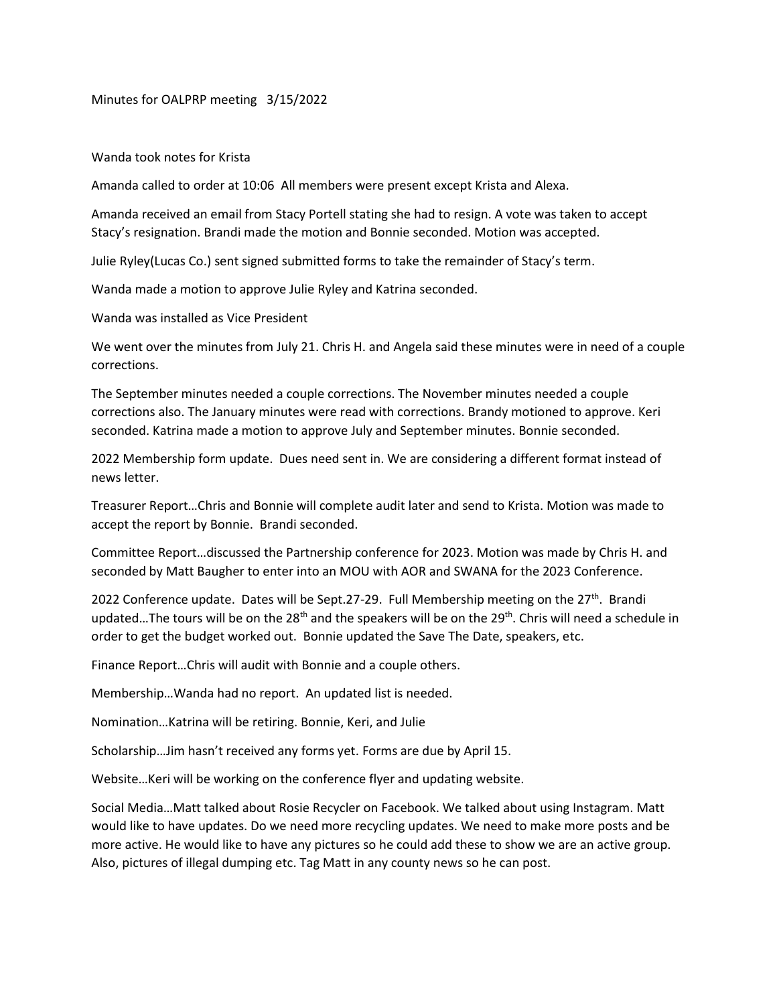Minutes for OALPRP meeting 3/15/2022

Wanda took notes for Krista

Amanda called to order at 10:06 All members were present except Krista and Alexa.

Amanda received an email from Stacy Portell stating she had to resign. A vote was taken to accept Stacy's resignation. Brandi made the motion and Bonnie seconded. Motion was accepted.

Julie Ryley(Lucas Co.) sent signed submitted forms to take the remainder of Stacy's term.

Wanda made a motion to approve Julie Ryley and Katrina seconded.

Wanda was installed as Vice President

We went over the minutes from July 21. Chris H. and Angela said these minutes were in need of a couple corrections.

The September minutes needed a couple corrections. The November minutes needed a couple corrections also. The January minutes were read with corrections. Brandy motioned to approve. Keri seconded. Katrina made a motion to approve July and September minutes. Bonnie seconded.

2022 Membership form update. Dues need sent in. We are considering a different format instead of news letter.

Treasurer Report…Chris and Bonnie will complete audit later and send to Krista. Motion was made to accept the report by Bonnie. Brandi seconded.

Committee Report…discussed the Partnership conference for 2023. Motion was made by Chris H. and seconded by Matt Baugher to enter into an MOU with AOR and SWANA for the 2023 Conference.

2022 Conference update. Dates will be Sept.27-29. Full Membership meeting on the  $27<sup>th</sup>$ . Brandi updated...The tours will be on the 28<sup>th</sup> and the speakers will be on the 29<sup>th</sup>. Chris will need a schedule in order to get the budget worked out. Bonnie updated the Save The Date, speakers, etc.

Finance Report…Chris will audit with Bonnie and a couple others.

Membership…Wanda had no report. An updated list is needed.

Nomination…Katrina will be retiring. Bonnie, Keri, and Julie

Scholarship…Jim hasn't received any forms yet. Forms are due by April 15.

Website…Keri will be working on the conference flyer and updating website.

Social Media…Matt talked about Rosie Recycler on Facebook. We talked about using Instagram. Matt would like to have updates. Do we need more recycling updates. We need to make more posts and be more active. He would like to have any pictures so he could add these to show we are an active group. Also, pictures of illegal dumping etc. Tag Matt in any county news so he can post.